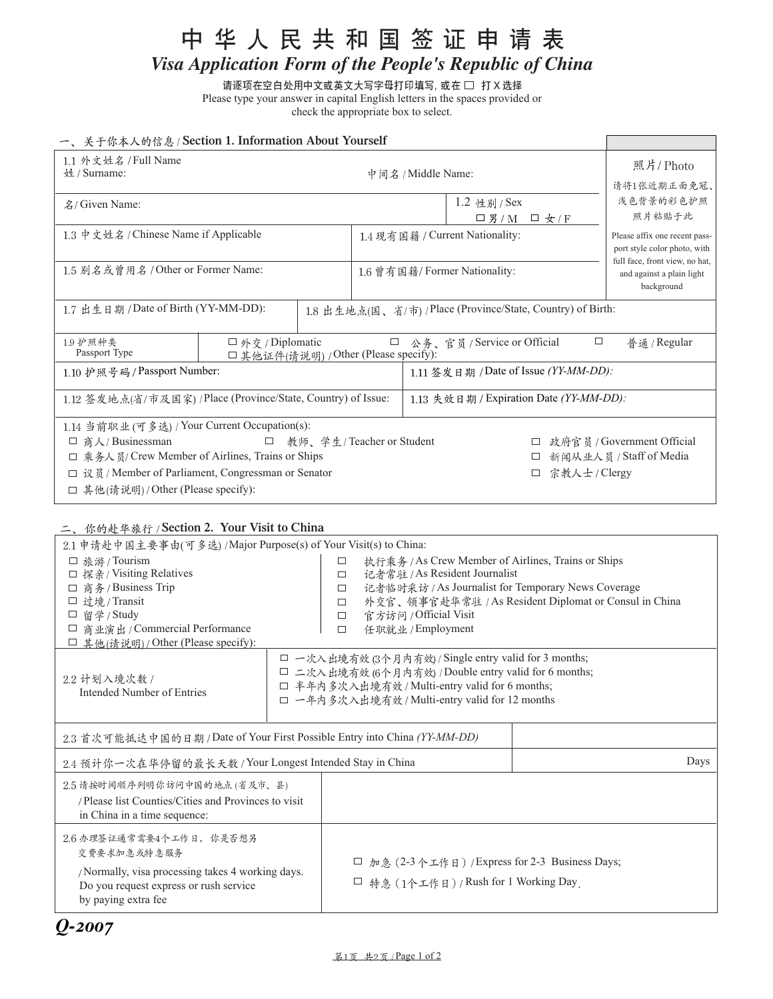# 中华人民共和国签证申请表

*Visa Application Form of the People's Republic of China*

请逐项在空白处用中文或英文大写字母打印填写, 或在 □ 打 X 选择 Please type your answer in capital English letters in the spaces provided or check the appropriate box to select.

<u> Tanzania (h. 1888).</u>

## 一、关于你本人的信息 / Section 1. Information About Yourself

| 1.1 外文姓名 / Full Name<br>姓 / Surname:<br>中间名 / Middle Name:                        |                        |                                       | 照片/Photo<br>请将1张近期正面免冠、         |                                                             |                                                                                                 |                            |
|-----------------------------------------------------------------------------------|------------------------|---------------------------------------|---------------------------------|-------------------------------------------------------------|-------------------------------------------------------------------------------------------------|----------------------------|
| 名/ Given Name:                                                                    |                        |                                       | 1.2 性别 / Sex                    |                                                             | 浅色背景的彩色护照                                                                                       |                            |
|                                                                                   |                        |                                       |                                 | 口男/M 口女/F                                                   |                                                                                                 | 照片粘贴于此                     |
| 1.3 中文姓名 / Chinese Name if Applicable                                             |                        |                                       | 1.4 现有国籍 / Current Nationality: |                                                             | Please affix one recent pass-<br>port style color photo, with<br>full face, front view, no hat, |                            |
| 1.5 别名或曾用名 / Other or Former Name:                                                |                        |                                       | 1.6 曾有国籍/Former Nationality:    |                                                             | and against a plain light<br>background                                                         |                            |
| 1.7 出生日期 / Date of Birth (YY-MM-DD):                                              |                        |                                       |                                 | 1.8 出生地点(国、省/市) / Place (Province/State, Country) of Birth: |                                                                                                 |                            |
| 19护照种类<br>Passport Type                                                           | $\Box$ 外交 / Diplomatic | □ 其他证件(请说明) / Other (Please specify): | $\Box$                          | 公务、官员 / Service or Official                                 | $\Box$                                                                                          | 普通 / Regular               |
| 1.10 护照号码 / Passport Number:                                                      |                        |                                       |                                 | 1.11 签发日期 / Date of Issue (YY-MM-DD):                       |                                                                                                 |                            |
| 1.12 签发地点(省/市及国家) /Place (Province/State, Country) of Issue:                      |                        |                                       |                                 | 1.13 失效日期 / Expiration Date (YY-MM-DD):                     |                                                                                                 |                            |
| 1.14 当前职业 (可多选) / Your Current Occupation(s):                                     |                        |                                       |                                 |                                                             |                                                                                                 |                            |
| 教师、学生/Teacher or Student<br>商人/Businessman<br>$\Box$<br>$\Box$                    |                        |                                       |                                 |                                                             |                                                                                                 | 政府官员 / Government Official |
| □ 乘务人员/ Crew Member of Airlines, Trains or Ships                                  |                        |                                       |                                 |                                                             |                                                                                                 | 新闻从业人员 / Staff of Media    |
| $\Box$ $\mathcal{R}$ $\mathcal{R}$ / Member of Parliament, Congressman or Senator |                        |                                       |                                 | □                                                           | 宗教人士 / Clergy                                                                                   |                            |
| □ 其他(请说明)/Other (Please specify):                                                 |                        |                                       |                                 |                                                             |                                                                                                 |                            |

# **三、你的赴华旅行 / Section 2. Your Visit to China**

| 2.1 申请赴中国主要事由(可多选) /Major Purpose(s) of Your Visit(s) to China:           |                                                       |                                                 |                                                       |                                                       |      |
|---------------------------------------------------------------------------|-------------------------------------------------------|-------------------------------------------------|-------------------------------------------------------|-------------------------------------------------------|------|
| □ 旅游 / Tourism                                                            |                                                       | □                                               | 执行乘务 / As Crew Member of Airlines, Trains or Ships    |                                                       |      |
| □ 探亲/ Visiting Relatives                                                  |                                                       | □                                               | 记者常驻 / As Resident Journalist                         |                                                       |      |
| 商务/Business Trip<br>$\Box$                                                |                                                       | $\Box$                                          | 记者临时采访 / As Journalist for Temporary News Coverage    |                                                       |      |
| □ 过境 / Transit                                                            |                                                       | $\Box$                                          |                                                       | 外交官、领事官赴华常驻 / As Resident Diplomat or Consul in China |      |
| 留学 / Study<br>□                                                           |                                                       | $\Box$                                          | 官方访问 / Official Visit                                 |                                                       |      |
| □ 商业演出 / Commercial Performance                                           |                                                       | $\Box$                                          | 任职就业 / Employment                                     |                                                       |      |
| □ 其他(请说明) / Other (Please specify):                                       |                                                       |                                                 |                                                       |                                                       |      |
|                                                                           |                                                       |                                                 | □ 一次入出境有效 (3个月内有效) / Single entry valid for 3 months; |                                                       |      |
| 2.2 计划入境次数 /                                                              | □ 二次入出境有效 (6个月内有效) / Double entry valid for 6 months; |                                                 |                                                       |                                                       |      |
| Intended Number of Entries                                                | □ 半年内多次入出境有效 / Multi-entry valid for 6 months;        |                                                 |                                                       |                                                       |      |
|                                                                           | □ 一年内多次入出境有效 / Multi-entry valid for 12 months        |                                                 |                                                       |                                                       |      |
|                                                                           |                                                       |                                                 |                                                       |                                                       |      |
| 2.3 首次可能抵达中国的日期 / Date of Your First Possible Entry into China (YY-MM-DD) |                                                       |                                                 |                                                       |                                                       |      |
| 2.4 预计你一次在华停留的最长天数 / Your Longest Intended Stay in China                  |                                                       |                                                 |                                                       |                                                       | Days |
| 2.5 请按时间顺序列明你访问中国的地点(省及市、县)                                               |                                                       |                                                 |                                                       |                                                       |      |
| / Please list Counties/Cities and Provinces to visit                      |                                                       |                                                 |                                                       |                                                       |      |
| in China in a time sequence:                                              |                                                       |                                                 |                                                       |                                                       |      |
|                                                                           |                                                       |                                                 |                                                       |                                                       |      |
| 26办理签证通常需要4个工作日, 你是否想另                                                    |                                                       |                                                 |                                                       |                                                       |      |
| 交费要求加急或特急服务                                                               |                                                       |                                                 |                                                       |                                                       |      |
| /Normally, visa processing takes 4 working days.                          |                                                       | □ 加急 (2-3个工作日) / Express for 2-3 Business Days; |                                                       |                                                       |      |
| Do you request express or rush service                                    |                                                       |                                                 | □ 特急 (1个工作日)/Rush for 1 Working Day                   |                                                       |      |
| by paying extra fee                                                       |                                                       |                                                 |                                                       |                                                       |      |
|                                                                           |                                                       |                                                 |                                                       |                                                       |      |